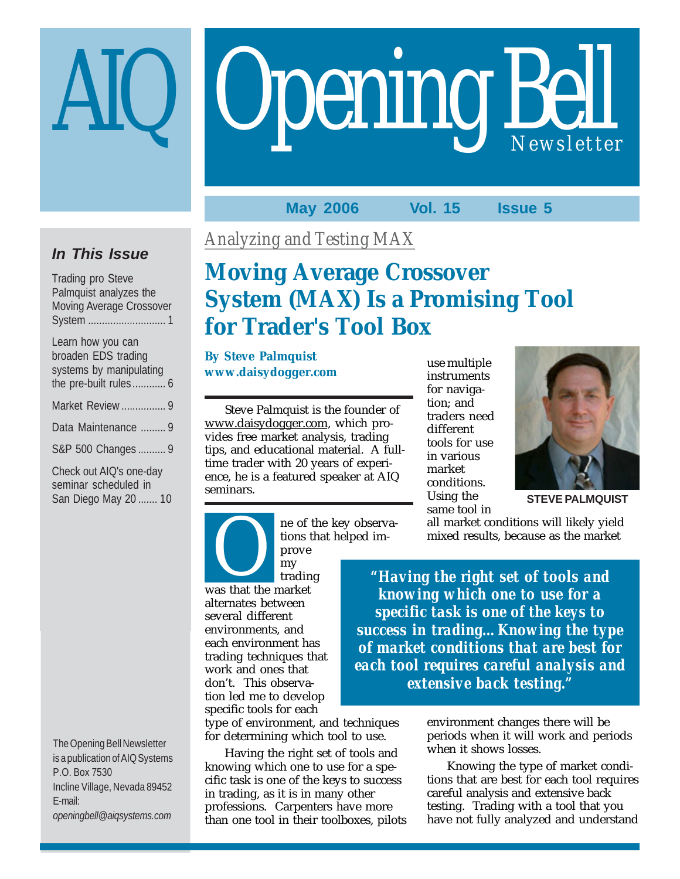# **Opening Bell**

### **May 2006 Vol. 15 Issue 5**

### **In This Issue**

| <b>Trading pro Steve</b>        |
|---------------------------------|
| Palmquist analyzes the          |
| <b>Moving Average Crossover</b> |
|                                 |
| Learn how you can               |
| broaden EDS trading             |
| systems by manipulating         |
| the pre-built rules 6           |
| Market Review  9                |
| Data Maintenance  9             |
| S&P 500 Changes 9               |
| Check out AIQ's one-day         |
| seminar scheduled in            |
| San Diego May 20  10            |

The Opening Bell Newsletter is a publication of AIQ Systems P.O. Box 7530 Incline Village, Nevada 89452 E-mail: *openingbell@aiqsystems.com*

*Analyzing and Testing MAX*

# **Moving Average Crossover System (MAX) Is a Promising Tool for Trader's Tool Box**

**By Steve Palmquist www.daisydogger.com**

Steve Palmquist is the founder of www.daisydogger.com, which provides free market analysis, trading tips, and educational material. A fulltime trader with 20 years of experience, he is a featured speaker at AIQ seminars.

use multiple instruments for navigation; and traders need different tools for use in various market conditions. Using the same tool in



**STEVE PALMQUIST**

ne of the key observations that helped im-

prove my trading my<br>
was that the market alternates between several different environments, and each environment has trading techniques that work and ones that don't. This observation led me to develop specific tools for each

type of environment, and techniques for determining which tool to use.

Having the right set of tools and knowing which one to use for a specific task is one of the keys to success in trading, as it is in many other professions. Carpenters have more than one tool in their toolboxes, pilots all market conditions will likely yield mixed results, because as the market

*"Having the right set of tools and knowing which one to use for a specific task is one of the keys to success in trading…Knowing the type of market conditions that are best for each tool requires careful analysis and extensive back testing."*

> environment changes there will be periods when it will work and periods when it shows losses.

Knowing the type of market conditions that are best for each tool requires careful analysis and extensive back testing. Trading with a tool that you have not fully analyzed and understand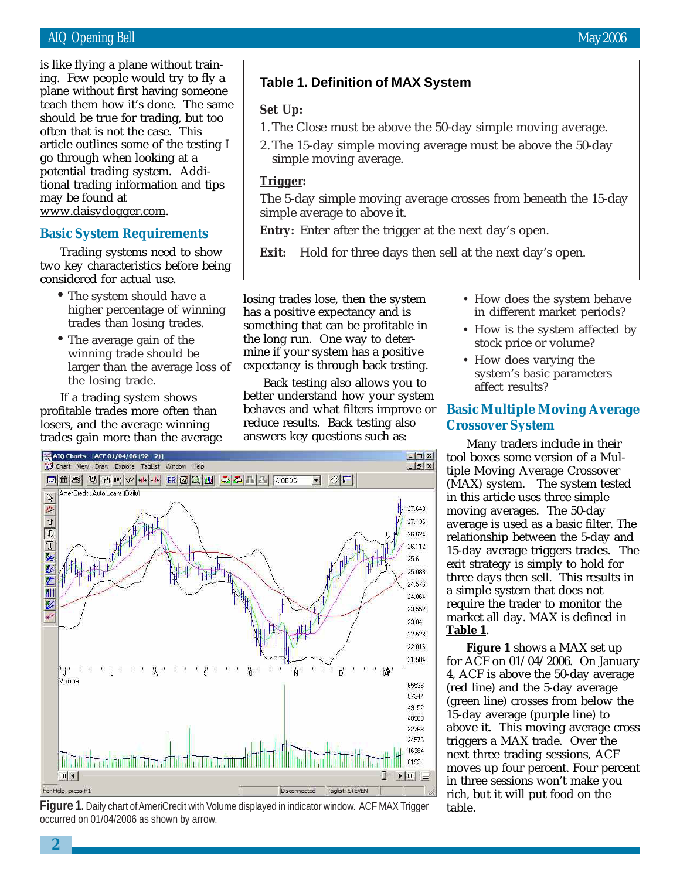### AIQ Opening Bell May 2006

teach them how it's done. The same<br>should be true for trading, but too is like flying a plane without training. Few people would try to fly a plane without first having someone should be true for trading, but too often that is not the case. This article outlines some of the testing I go through when looking at a potential trading system. Additional trading information and tips may be found at www.daisydogger.com.

### **Basic System Requirements**

Trading systems need to show two key characteristics before being considered for actual use.

- The system should have a higher percentage of winning trades than losing trades.
- The average gain of the winning trade should be larger than the average loss of the losing trade.

If a trading system shows profitable trades more often than losers, and the average winning trades gain more than the average

### **Table 1. Definition of MAX System**

### **Set Up:**

- 1. The Close must be above the 50-day simple moving average.
- 2. The 15-day simple moving average must be above the 50-day simple moving average.

### **Trigger:**

The 5-day simple moving average crosses from beneath the 15-day simple average to above it.

**Entry:** Enter after the trigger at the next day's open.

**Exit:** Hold for three days then sell at the next day's open.

losing trades lose, then the system has a positive expectancy and is something that can be profitable in the long run. One way to determine if your system has a positive expectancy is through back testing.

Back testing also allows you to better understand how your system behaves and what filters improve or reduce results. Back testing also answers key questions such as:



**Figure 1.** Daily chart of AmeriCredit with Volume displayed in indicator window. ACF MAX Trigger occurred on 01/04/2006 as shown by arrow.

- How does the system behave in different market periods?
- How is the system affected by stock price or volume?
- How does varying the system's basic parameters affect results?

### **Basic Multiple Moving Average Crossover System**

Many traders include in their tool boxes some version of a Multiple Moving Average Crossover (MAX) system. The system tested in this article uses three simple moving averages. The 50-day average is used as a basic filter. The relationship between the 5-day and 15-day average triggers trades. The exit strategy is simply to hold for three days then sell. This results in a simple system that does not require the trader to monitor the market all day. MAX is defined in **Table 1**.

**Figure 1** shows a MAX set up for ACF on 01/04/2006. On January 4, ACF is above the 50-day average (red line) and the 5-day average (green line) crosses from below the 15-day average (purple line) to above it. This moving average cross triggers a MAX trade. Over the next three trading sessions, ACF moves up four percent. Four percent in three sessions won't make you rich, but it will put food on the table.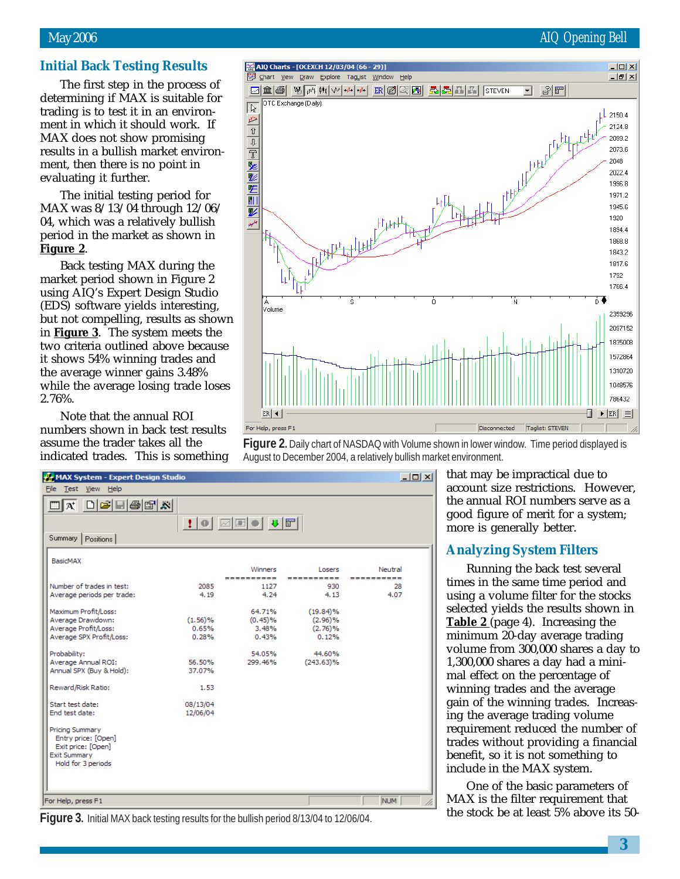### May 2006 AIQ Opening Bell

### **Initial Back Testing Results**

The first step in the process of determining if MAX is suitable for trading is to test it in an environment in which it should work. If MAX does not show promising results in a bullish market environment, then there is no point in evaluating it further.

The initial testing period for MAX was 8/13/04 through 12/06/ 04, which was a relatively bullish period in the market as shown in **Figure 2**.

Back testing MAX during the market period shown in Figure 2 using AIQ's Expert Design Studio (EDS) software yields interesting, but not compelling, results as shown in **Figure 3**. The system meets the two criteria outlined above because it shows 54% winning trades and the average winner gains 3.48% while the average losing trade loses 2.76%.

Note that the annual ROI numbers shown in back test results assume the trader takes all the indicated trades. This is something



**Figure 2.** Daily chart of NASDAQ with Volume shown in lower window. Time period displayed is August to December 2004, a relatively bullish market environment.

| MAX System - Expert Design Studio                                                                         |          |            |              | $-10 \times$ |
|-----------------------------------------------------------------------------------------------------------|----------|------------|--------------|--------------|
| File Test View Help                                                                                       |          |            |              |              |
| $\Box x$ $\Box z$ $\Box z$                                                                                |          |            |              |              |
| Summary<br>Positions                                                                                      |          |            |              |              |
| BasicMAX                                                                                                  |          | Winners    | Losers       | Neutral      |
|                                                                                                           |          | ---------- | ----------   | -----------  |
| Number of trades in test:                                                                                 | 2085     | 1127       | 930          | 28           |
| Average periods per trade:                                                                                | 4.19     | 4.24       | 4.13         | 4.07         |
| Maximum Profit/Loss:                                                                                      |          | 64.71%     | $(19.84)\%$  |              |
| Average Drawdown:                                                                                         | (1.56)%  | $(0.45)\%$ | (2.96)%      |              |
| Average Profit/Loss:                                                                                      | 0.65%    | 3.48%      | (2.76)%      |              |
| Average SPX Profit/Loss:                                                                                  | 0.28%    | 0.43%      | 0.12%        |              |
| Probability:                                                                                              |          | 54.05%     | 44.60%       |              |
| Average Annual ROI:                                                                                       | 56.50%   | 299.46%    | $(243.63)\%$ |              |
| Annual SPX (Buy & Hold):                                                                                  | 37.07%   |            |              |              |
| Reward/Risk Ratio:                                                                                        | 1.53     |            |              |              |
| Start test date:                                                                                          | 08/13/04 |            |              |              |
| End test date:                                                                                            | 12/06/04 |            |              |              |
| Pricing Summary<br>Entry price: [Open]<br>Exit price: [Open]<br><b>Exit Summary</b><br>Hold for 3 periods |          |            |              |              |
| For Help, press F1                                                                                        |          |            |              | <b>NUM</b>   |

**Figure 3.** Initial MAX back testing results for the bullish period 8/13/04 to 12/06/04.

that may be impractical due to account size restrictions. However, the annual ROI numbers serve as a good figure of merit for a system; more is generally better.

### **Analyzing System Filters**

Running the back test several times in the same time period and using a volume filter for the stocks selected yields the results shown in **Table 2** (page 4). Increasing the minimum 20-day average trading volume from 300,000 shares a day to 1,300,000 shares a day had a minimal effect on the percentage of winning trades and the average gain of the winning trades. Increasing the average trading volume requirement reduced the number of trades without providing a financial benefit, so it is not something to include in the MAX system.

One of the basic parameters of MAX is the filter requirement that the stock be at least 5% above its 50-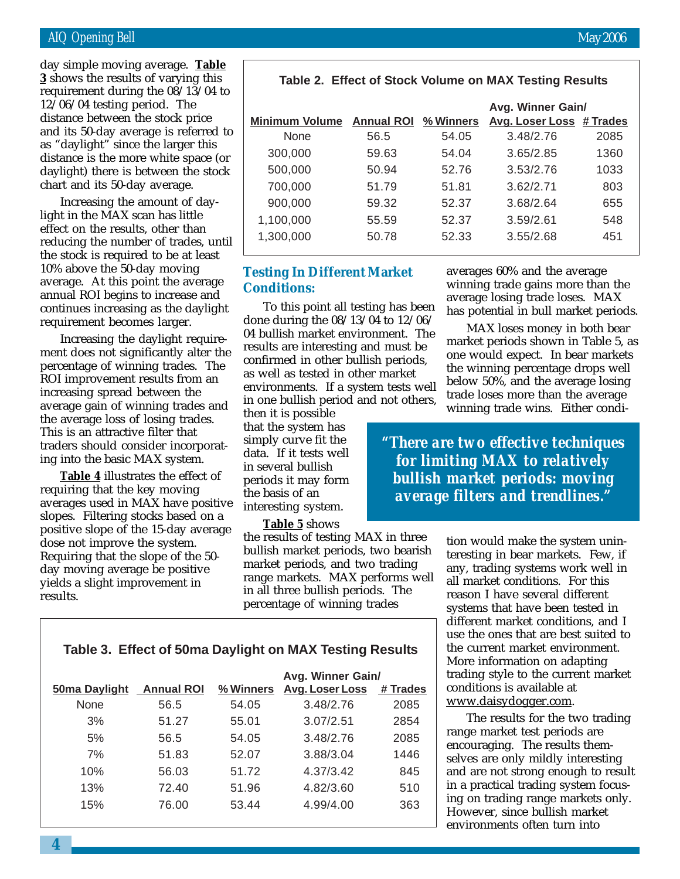### AIQ Opening Bell May 2006

12/06/04 testing period. The<br>distance between the stock pr day simple moving average. **Table 3** shows the results of varying this requirement during the 08/13/04 to distance between the stock price and its 50-day average is referred to as "daylight" since the larger this distance is the more white space (or daylight) there is between the stock chart and its 50-day average.

Increasing the amount of daylight in the MAX scan has little effect on the results, other than reducing the number of trades, until the stock is required to be at least 10% above the 50-day moving average. At this point the average annual ROI begins to increase and continues increasing as the daylight requirement becomes larger.

Increasing the daylight requirement does not significantly alter the percentage of winning trades. The ROI improvement results from an increasing spread between the average gain of winning trades and the average loss of losing trades. This is an attractive filter that traders should consider incorporating into the basic MAX system.

**Table 4** illustrates the effect of requiring that the key moving averages used in MAX have positive slopes. Filtering stocks based on a positive slope of the 15-day average dose not improve the system. Requiring that the slope of the 50 day moving average be positive yields a slight improvement in results.

|                       |                             |       | Avg. Winner Gain/        |      |
|-----------------------|-----------------------------|-------|--------------------------|------|
| <b>Minimum Volume</b> | <b>Annual ROI % Winners</b> |       | Avg. Loser Loss # Trades |      |
| None                  | 56.5                        | 54.05 | 3.48/2.76                | 2085 |
| 300,000               | 59.63                       | 54.04 | 3.65/2.85                | 1360 |
| 500,000               | 50.94                       | 52.76 | 3.53/2.76                | 1033 |
| 700,000               | 51.79                       | 51.81 | 3.62/2.71                | 803  |
| 900,000               | 59.32                       | 52.37 | 3.68/2.64                | 655  |
| 1,100,000             | 55.59                       | 52.37 | 3.59/2.61                | 548  |
| 1,300,000             | 50.78                       | 52.33 | 3.55/2.68                | 451  |

 **Table 2. Effect of Stock Volume on MAX Testing Results**

### **Testing In Different Market Conditions:**

To this point all testing has been done during the 08/13/04 to 12/06/ 04 bullish market environment. The results are interesting and must be confirmed in other bullish periods, as well as tested in other market environments. If a system tests well in one bullish period and not others,

then it is possible that the system has simply curve fit the data. If it tests well in several bullish periods it may form the basis of an interesting system.

**Table 5** shows

the results of testing MAX in three bullish market periods, two bearish market periods, and two trading range markets. MAX performs well in all three bullish periods. The percentage of winning trades

averages 60% and the average winning trade gains more than the average losing trade loses. MAX has potential in bull market periods.

MAX loses money in both bear market periods shown in Table 5, as one would expect. In bear markets the winning percentage drops well below 50%, and the average losing trade loses more than the average winning trade wins. Either condi-

*"There are two effective techniques for limiting MAX to relatively bullish market periods: moving average filters and trendlines."*

> tion would make the system uninteresting in bear markets. Few, if any, trading systems work well in all market conditions. For this reason I have several different systems that have been tested in different market conditions, and I use the ones that are best suited to the current market environment. More information on adapting trading style to the current market conditions is available at www.daisydogger.com.

The results for the two trading range market test periods are encouraging. The results themselves are only mildly interesting and are not strong enough to result in a practical trading system focusing on trading range markets only. However, since bullish market environments often turn into

|  | Table 3. Effect of 50ma Daylight on MAX Testing Results |  |  |
|--|---------------------------------------------------------|--|--|
|--|---------------------------------------------------------|--|--|

|                      |                   |           | Avg. Winner Gain/      |          |
|----------------------|-------------------|-----------|------------------------|----------|
| <b>50ma Daylight</b> | <b>Annual ROI</b> | % Winners | <b>Avg. Loser Loss</b> | # Trades |
| None                 | 56.5              | 54.05     | 3.48/2.76              | 2085     |
| 3%                   | 51.27             | 55.01     | 3.07/2.51              | 2854     |
| 5%                   | 56.5              | 54.05     | 3.48/2.76              | 2085     |
| 7%                   | 51.83             | 52.07     | 3.88/3.04              | 1446     |
| 10%                  | 56.03             | 51.72     | 4.37/3.42              | 845      |
| 13%                  | 72.40             | 51.96     | 4.82/3.60              | 510      |
| 15%                  | 76.00             | 53.44     | 4.99/4.00              | 363      |
|                      |                   |           |                        |          |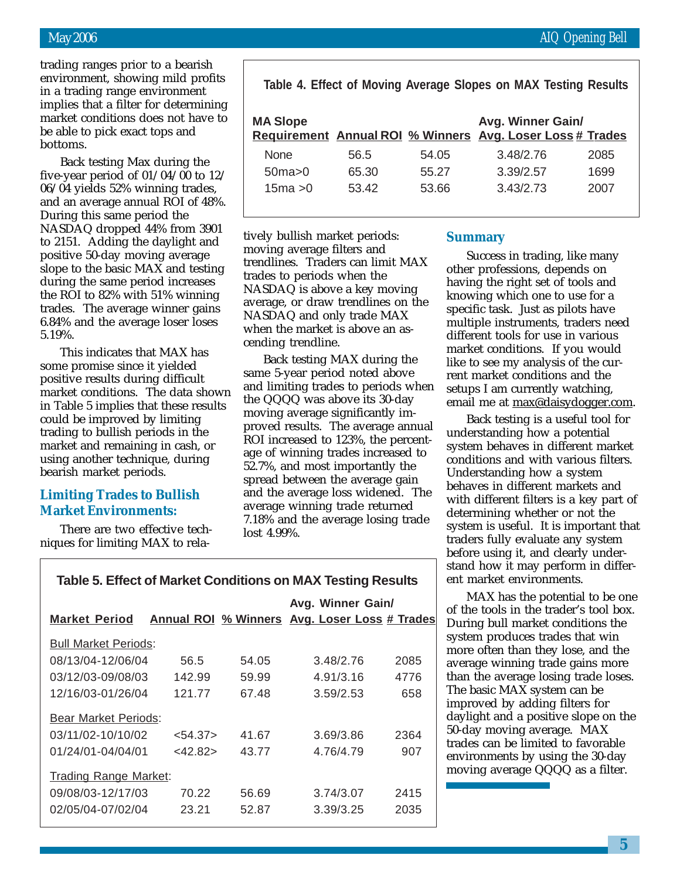trading ranges prior to a bearish environment, showing mild profits in a trading range environment implies that a filter for determining market conditions does not have to be able to pick exact tops and bottoms.

Back testing Max during the five-year period of 01/04/00 to 12/ 06/04 yields 52% winning trades, and an average annual ROI of 48%. During this same period the NASDAQ dropped 44% from 3901 to 2151. Adding the daylight and positive 50-day moving average slope to the basic MAX and testing during the same period increases the ROI to 82% with 51% winning trades. The average winner gains 6.84% and the average loser loses 5.19%.

This indicates that MAX has some promise since it yielded positive results during difficult market conditions. The data shown in Table 5 implies that these results could be improved by limiting trading to bullish periods in the market and remaining in cash, or using another technique, during bearish market periods.

### **Limiting Trades to Bullish Market Environments:**

There are two effective techniques for limiting MAX to rela-

| Table 4. Effect of Moving Average Slopes on MAX Testing Results |  |  |  |  |  |  |  |
|-----------------------------------------------------------------|--|--|--|--|--|--|--|
|-----------------------------------------------------------------|--|--|--|--|--|--|--|

| <b>MA Slope</b> |       |       | Avg. Winner Gain/<br>Requirement Annual ROI % Winners Avg. Loser Loss # Trades |      |
|-----------------|-------|-------|--------------------------------------------------------------------------------|------|
| <b>None</b>     | 56.5  | 54.05 | 3.48/2.76                                                                      | 2085 |
| 50ma>0          | 65.30 | 55.27 | 3.39/2.57                                                                      | 1699 |
| 15ma > 0        | 53.42 | 53.66 | 3.43/2.73                                                                      | 2007 |

tively bullish market periods: moving average filters and trendlines. Traders can limit MAX trades to periods when the NASDAQ is above a key moving average, or draw trendlines on the NASDAQ and only trade MAX when the market is above an ascending trendline.

Back testing MAX during the same 5-year period noted above and limiting trades to periods when the QQQQ was above its 30-day moving average significantly improved results. The average annual ROI increased to 123%, the percentage of winning trades increased to 52.7%, and most importantly the spread between the average gain and the average loss widened. The average winning trade returned 7.18% and the average losing trade lost 4.99%.

### **Summary**

Success in trading, like many other professions, depends on having the right set of tools and knowing which one to use for a specific task. Just as pilots have multiple instruments, traders need different tools for use in various market conditions. If you would like to see my analysis of the current market conditions and the setups I am currently watching, email me at max@daisydogger.com.

Back testing is a useful tool for understanding how a potential system behaves in different market conditions and with various filters. Understanding how a system behaves in different markets and with different filters is a key part of determining whether or not the system is useful. It is important that traders fully evaluate any system before using it, and clearly understand how it may perform in different market environments.

MAX has the potential to be one of the tools in the trader's tool box. During bull market conditions the system produces trades that win more often than they lose, and the average winning trade gains more than the average losing trade loses. The basic MAX system can be improved by adding filters for daylight and a positive slope on the 50-day moving average. MAX trades can be limited to favorable environments by using the 30-day moving average QQQQ as a filter.

| <b>Table 5. Effect of Market Conditions on MAX Testing Results</b> |
|--------------------------------------------------------------------|
|--------------------------------------------------------------------|

| <b>Market Period</b>         |            |       | Avg. Winner Gain/<br><b>Annual ROI % Winners Avg. Loser Loss # Trades</b> |      |  |  |
|------------------------------|------------|-------|---------------------------------------------------------------------------|------|--|--|
| <b>Bull Market Periods:</b>  |            |       |                                                                           |      |  |  |
| 08/13/04-12/06/04            | 56.5       | 54.05 | 3.48/2.76                                                                 | 2085 |  |  |
| 03/12/03-09/08/03            | 142.99     | 59.99 | 4.91/3.16                                                                 | 4776 |  |  |
| 12/16/03-01/26/04            | 121.77     | 67.48 | 3.59/2.53                                                                 | 658  |  |  |
| <b>Bear Market Periods:</b>  |            |       |                                                                           |      |  |  |
| 03/11/02-10/10/02            | < 54.37    | 41.67 | 3.69/3.86                                                                 | 2364 |  |  |
| 01/24/01-04/04/01            | $<$ 42.82> | 43.77 | 4.76/4.79                                                                 | 907  |  |  |
| <b>Trading Range Market:</b> |            |       |                                                                           |      |  |  |
| 09/08/03-12/17/03            | 70.22      | 56.69 | 3.74/3.07                                                                 | 2415 |  |  |
| 02/05/04-07/02/04            | 23.21      | 52.87 | 3.39/3.25                                                                 | 2035 |  |  |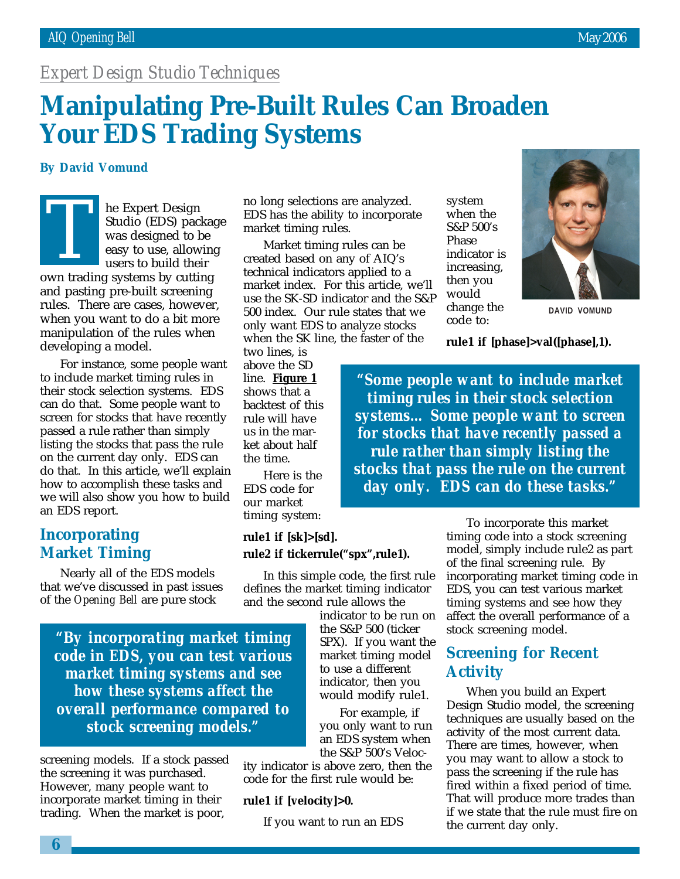### *Expert Design Studio Techniques*

# **Manipulating Pre-Built Rules Can Broaden Your EDS Trading Systems**

### **By David Vomund**

he Expert Design Studio (EDS) package was designed to be easy to use, allowing users to build their

own trading systems by cutting and pasting pre-built screening rules. There are cases, however, when you want to do a bit more manipulation of the rules when developing a model. T<br>Um trad

For instance, some people want to include market timing rules in their stock selection systems. EDS can do that. Some people want to screen for stocks that have recently passed a rule rather than simply listing the stocks that pass the rule on the current day only. EDS can do that. In this article, we'll explain how to accomplish these tasks and we will also show you how to build an EDS report.

### **Incorporating Market Timing**

Nearly all of the EDS models that we've discussed in past issues of the *Opening Bell* are pure stock

*"By incorporating market timing code in EDS, you can test various market timing systems and see how these systems affect the overall performance compared to stock screening models."*

screening models. If a stock passed the screening it was purchased. However, many people want to incorporate market timing in their trading. When the market is poor,

no long selections are analyzed. EDS has the ability to incorporate market timing rules.

Market timing rules can be created based on any of AIQ's technical indicators applied to a market index. For this article, we'll use the SK-SD indicator and the S&P 500 index. Our rule states that we only want EDS to analyze stocks when the SK line, the faster of the

two lines, is above the SD line. **Figure 1** shows that a backtest of this rule will have us in the market about half the time.

Here is the EDS code for our market timing system:

### **rule1 if [sk]>[sd]. rule2 if tickerrule("spx",rule1).**

In this simple code, the first rule defines the market timing indicator and the second rule allows the

> indicator to be run on the S&P 500 (ticker SPX). If you want the market timing model to use a different indicator, then you would modify rule1.

For example, if you only want to run an EDS system when the S&P 500's Veloc-

ity indicator is above zero, then the code for the first rule would be:

### **rule1 if [velocity]>0.**

If you want to run an EDS

system when the S&P 500's Phase indicator is increasing, then you would change the code to:



**DAVID VOMUND**

**rule1 if [phase]>val([phase],1).**

*"Some people want to include market timing rules in their stock selection systems… Some people want to screen for stocks that have recently passed a rule rather than simply listing the stocks that pass the rule on the current day only. EDS can do these tasks."*

> To incorporate this market timing code into a stock screening model, simply include rule2 as part of the final screening rule. By incorporating market timing code in EDS, you can test various market timing systems and see how they affect the overall performance of a stock screening model.

### **Screening for Recent Activity**

When you build an Expert Design Studio model, the screening techniques are usually based on the activity of the most current data. There are times, however, when you may want to allow a stock to pass the screening if the rule has fired within a fixed period of time. That will produce more trades than if we state that the rule must fire on the current day only.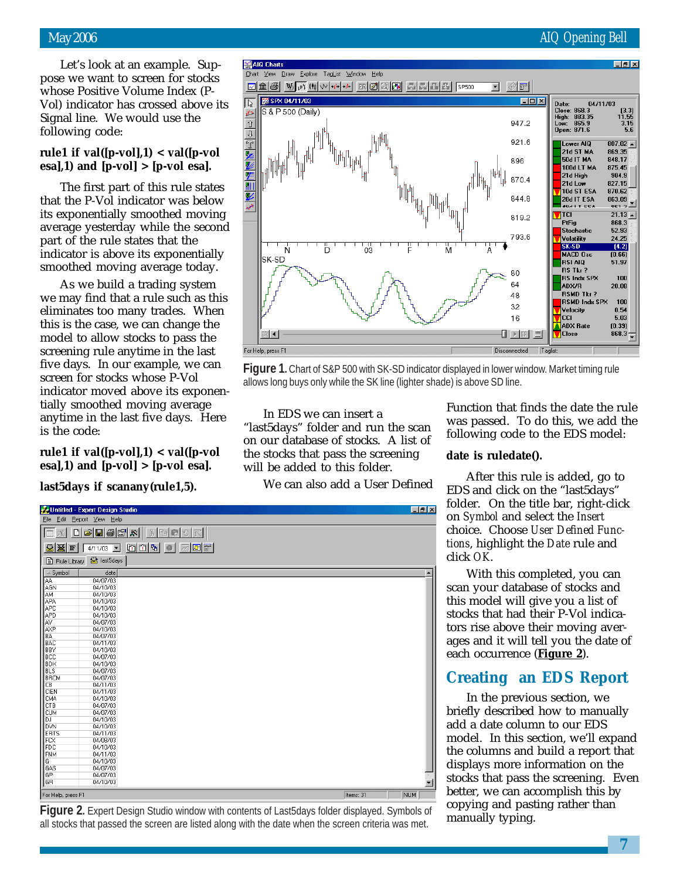Let's look at an example. Suppose we want to screen for stocks whose Positive Volume Index (P-Vol) indicator has crossed above its Signal line. We would use the following code:

### **rule1 if val([p-vol],1) < val([p-vol esa],1) and [p-vol] > [p-vol esa].**

The first part of this rule states that the P-Vol indicator was below its exponentially smoothed moving average yesterday while the second part of the rule states that the indicator is above its exponentially smoothed moving average today.

As we build a trading system we may find that a rule such as this eliminates too many trades. When this is the case, we can change the model to allow stocks to pass the screening rule anytime in the last five days. In our example, we can screen for stocks whose P-Vol indicator moved above its exponentially smoothed moving average anytime in the last five days. Here is the code:

**rule1 if val([p-vol],1) < val([p-vol esa],1) and [p-vol] > [p-vol esa].**

### **last5days if scanany(rule1,5).**

Untitled - Expert Design Studio

File Edit Report View Help

Rule Library & last5days

 $\triangle$  Symbol  $\Box$ 

...<br>AGN **AM** 

ÄΡΑ APC **GPD** 

Ã٧

AXF

...<br>BLS

C<sub>B</sub>

**BRCM** 

CIEN<br>CMA

CTB

сüм

...<br>R۵ **BAC BBY**<br>BCC<br>BDX



all stocks that passed the screen are listed along with the date when the screen criteria was met.

Function that finds the date the rule was passed. To do this, we add the following code to the EDS model:

folder. On the title bar, right-click *tions*, highlight the *Date* rule and click *OK*.

With this completed, you can scan your database of stocks and this model will give you a list of stocks that had their P-Vol indicators rise above their moving averages and it will tell you the date of each occurrence (**Figure 2**).

### **Creating an EDS Report**

In the previous section, we briefly described how to manually add a date column to our EDS model. In this section, we'll expand the columns and build a report that displays more information on the stocks that pass the screening. Even better, we can accomplish this by copying and pasting rather than manually typing.

**date is ruledate().** In EDS we can insert a will be added to this folder. We can also add a User Defined

 $|E|$ 

After this rule is added, go to EDS and click on the "last5days" on *Symbol* and select the *Insert* choice. Choose *User Defined Func-*

ER 1 For Help, press F1 **Figure 1.** Chart of S&P 500 with SK-SD indicator displayed in lower window. Market timing rule allows long buys only while the SK line (lighter shade) is above SD line. "last5days" folder and run the scan on our database of stocks. A list of the stocks that pass the screening

 $\boxed{\square\textrm{X}}$   $\boxed{\square\textrm{B}}$   $\boxed{\textrm{B}}$   $\boxed{\textrm{B}}$   $\boxed{\textrm{B}}$   $\boxed{\textrm{B}}$   $\boxed{\textrm{O}}$   $\boxed{\textrm{K}}$ 8 X F 4/11/03 - 00 0 9 0 0 0 0 0

> date 04/07/03

04/10/03 04/10/03

 $04/10/03$ 

04/07/03

04/10/03 04/07/03

04/10/03 04/07/03

 $01/07/03$ 

04/07/03

04/11/03

04/11/03

04/07/03



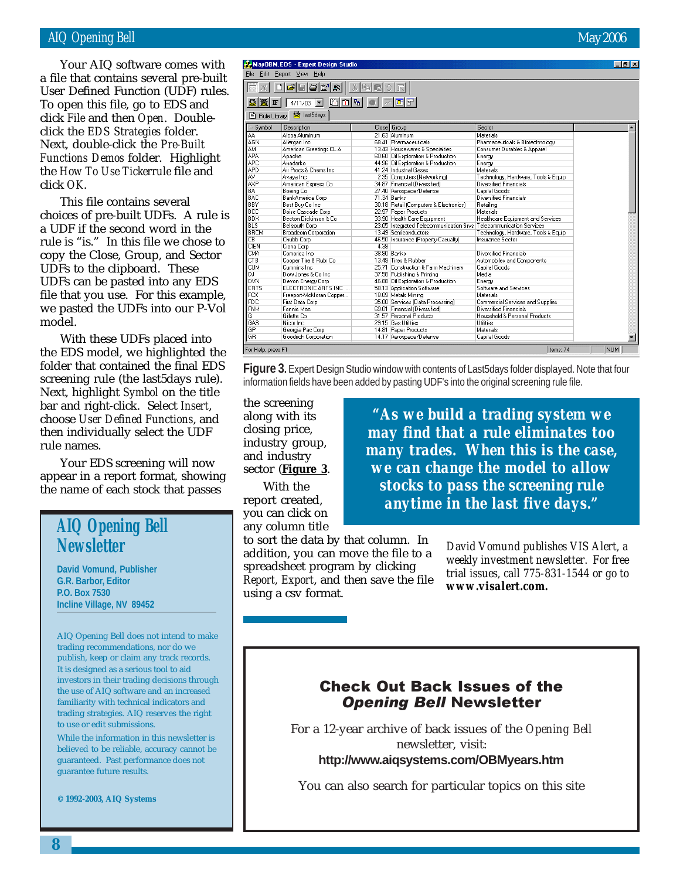### AIQ Opening Bell May 2006

To open this file, go to EDS and<br>click File and then Open Double Your AIQ software comes with a file that contains several pre-built User Defined Function (UDF) rules. click *File* and then *Open*. Doubleclick the *EDS Strategies* folder. Next, double-click the *Pre-Built Functions Demos* folder. Highlight the *How To Use Tickerrule* file and click *OK*.

This file contains several choices of pre-built UDFs. A rule is a UDF if the second word in the rule is "is." In this file we chose to copy the Close, Group, and Sector UDFs to the clipboard. These UDFs can be pasted into any EDS file that you use. For this example, we pasted the UDFs into our P-Vol model.

With these UDFs placed into the EDS model, we highlighted the folder that contained the final EDS screening rule (the last5days rule). Next, highlight *Symbol* on the title bar and right-click. Select *Insert*, choose *User Defined Functions*, and then individually select the UDF rule names.

Your EDS screening will now appear in a report format, showing the name of each stock that passes

### **AIQ Opening Bell Newsletter**

**David Vomund, Publisher G.R. Barbor, Editor P.O. Box 7530 Incline Village, NV 89452**

AIQ Opening Bell does not intend to make trading recommendations, nor do we publish, keep or claim any track records. It is designed as a serious tool to aid investors in their trading decisions through the use of AIQ software and an increased familiarity with technical indicators and trading strategies. AIQ reserves the right to use or edit submissions.

While the information in this newsletter is believed to be reliable, accuracy cannot be guaranteed. Past performance does not guarantee future results.

**© 1992-2003, AIQ Systems**

# MayOBM.EDS - Expert Design Studio

| 66 x<br>自                                 |                             |      |                                                                    |                                     |            |  |  |
|-------------------------------------------|-----------------------------|------|--------------------------------------------------------------------|-------------------------------------|------------|--|--|
| $\blacksquare$<br>4/11/03<br>$\mathbf{F}$ |                             |      |                                                                    |                                     |            |  |  |
| <b>R</b> last5days<br>B Rule Library      |                             |      |                                                                    |                                     |            |  |  |
| $\triangle$ Symbol                        | Description                 |      | Close Group                                                        | Sector                              |            |  |  |
| AA.                                       | Alcoa Aluminum              |      | 21.63 Aluminum                                                     | Materials                           |            |  |  |
| AGN                                       | Allergan Inc.               |      | 68.41 Pharmaceuticals                                              | Pharmaceuticals & Biotechnology     |            |  |  |
| AM                                        | American Greetings CL A     |      | 13.43 Housewares & Specialties                                     | Consumer Durables & Apparel         |            |  |  |
| APA                                       | Apache                      |      | 60.60 Oil Exploration & Production                                 | Energy                              |            |  |  |
| APC                                       | Anadarko                    |      | 44.96 Oil Exploration & Production                                 | Energy                              |            |  |  |
| APD                                       | Air Prods & Chems Inc.      |      | 41.24 Industrial Gases                                             | Materials                           |            |  |  |
| AV                                        | Avaya Inc                   |      | 2.35 Computers (Networking)                                        | Technology, Hardware, Tools & Equip |            |  |  |
| AXP                                       | American Express Co.        |      | 34.87 Financial (Diversified)                                      | Diversified Financials              |            |  |  |
| <b>BA</b>                                 | Boeing Co                   |      | 27.40 Aerospace/Defense                                            | Capital Goods                       |            |  |  |
| BAC                                       | BankAmerica Corp            |      | 71.34 Banks                                                        | <b>Diversified Financials</b>       |            |  |  |
| BBY                                       | Best Buy Co Inc             |      | 30.18 Retail (Computers & Electronics)                             | Retailing                           |            |  |  |
| <b>BCC</b>                                | Boise Cascade Corp          |      | 22.97 Paper Products                                               | Materials                           |            |  |  |
| <b>BDX</b>                                | Becton Dickinson & Co.      |      | 33.90 Health Care Equipment                                        | Healthcare Equipment and Services   |            |  |  |
| <b>BLS</b>                                | Bellsouth Corp              |      | 23.05 Integrated Telecommunication Srvs Telecommunication Services |                                     |            |  |  |
| <b>BRCM</b>                               | <b>Broadcom Corporation</b> |      | 13.49 Semiconductors                                               | Technology, Hardware, Tools & Equip |            |  |  |
| CB                                        | Chubb Corp                  |      | 46.50 Insurance (Property-Casualty)                                | Insurance Sector                    |            |  |  |
| <b>CIEN</b>                               | Ciena Corp                  | 4.38 |                                                                    |                                     |            |  |  |
| <b>CMA</b>                                | Comerica Inc.               |      | 38.80 Banks                                                        | Diversified Financials              |            |  |  |
| <b>CTB</b>                                | Cooper Tire & Rubr Co.      |      | 13.49 Tires & Rubber                                               | Automobiles and Components          |            |  |  |
| <b>CUM</b>                                | Cummins Inc.                |      | 25.71 Construction & Farm Machinery                                | Capital Goods                       |            |  |  |
| DJ.                                       | Dow Jones & Co Inc.         |      | 37.58 Publishing & Printing                                        | Media                               |            |  |  |
| DVN                                       | Devon Energy Corp           |      | 46.88 Oil Exploration & Production                                 | Enerav                              |            |  |  |
| ERTS                                      | ELECTRONIC ARTS INC         |      | 58.13 Application Software                                         | Software and Services               |            |  |  |
| FCX                                       | Freeport-McMoran Copper     |      | 18.09 Metals Mining                                                | Materials                           |            |  |  |
| FDC                                       | First Data Corp             |      | 35.00 Services (Data Processing)                                   | Commercial Services and Supplies    |            |  |  |
| <b>FNM</b>                                | Fannie Mae                  |      | 69.01 Financial (Diversified)                                      | Diversified Financials              |            |  |  |
| G                                         | Gillette Co                 |      | 31.57 Personal Products                                            | Household & Personal Products       |            |  |  |
| GAS                                       | Nicor Inc.                  |      | 29.15 Gas Utilities                                                | <b>Utilities</b>                    |            |  |  |
| GP                                        | Georgia Pac Corp            |      | 14.81 Paper Products                                               | Materials                           |            |  |  |
| GR                                        | Goodrich Corporation        |      | 14.17 Aerospace/Defense                                            | Capital Goods                       |            |  |  |
| For Help, press F1                        |                             |      |                                                                    | Items: 74                           | <b>NUM</b> |  |  |

**Figure 3.** Expert Design Studio window with contents of Last5days folder displayed. Note that four information fields have been added by pasting UDF's into the original screening rule file.

the screening along with its closing price, industry group, and industry sector (**Figure 3**.

With the report created, you can click on any column title

*"As we build a trading system we may find that a rule eliminates too many trades. When this is the case, we can change the model to allow stocks to pass the screening rule anytime in the last five days."*

to sort the data by that column. In addition, you can move the file to a spreadsheet program by clicking *Report, Export*, and then save the file using a csv format.

*David Vomund publishes VIS Alert, a weekly investment newsletter. For free trial issues, call 775-831-1544 or go to www.visalert.com.*

### Check Out Back Issues of the Opening Bell Newsletter

For a 12-year archive of back issues of the *Opening Bell* newsletter, visit:

**http://www.aiqsystems.com/OBMyears.htm**

You can also search for particular topics on this site

 $F$   $F$   $x$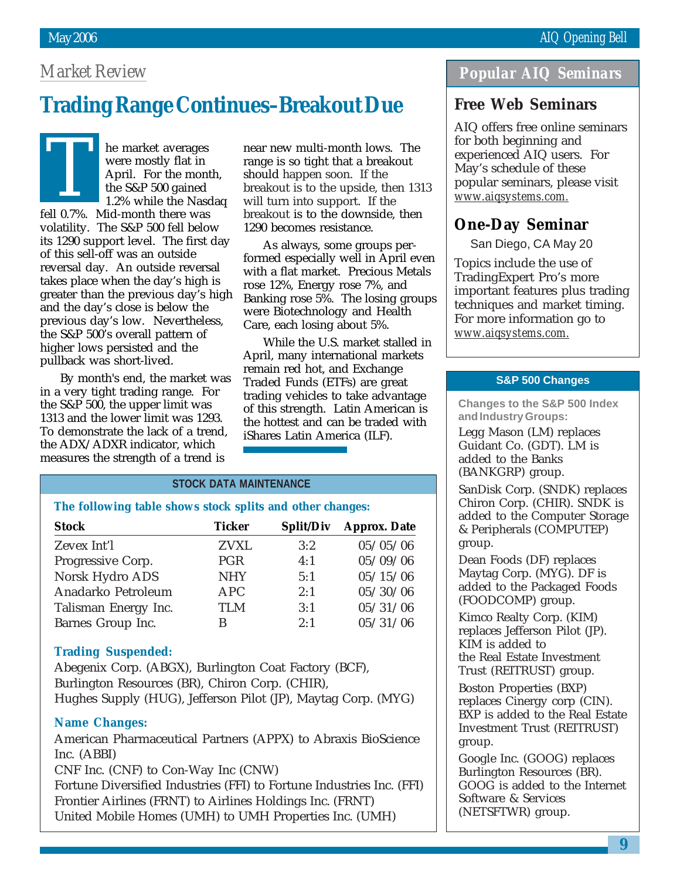### *Market Review*

# **Trading Range Continues–Breakout Due**

The market averages<br>were mostly flat in<br>April. For the mon<br>the S&P 500 gained<br>1.2% while the Nass were mostly flat in April. For the month, the S&P 500 gained 1.2% while the Nasdaq fell 0.7%. Mid-month there was volatility. The S&P 500 fell below its 1290 support level. The first day of this sell-off was an outside reversal day. An outside reversal takes place when the day's high is greater than the previous day's high and the day's close is below the previous day's low. Nevertheless, the S&P 500's overall pattern of higher lows persisted and the pullback was short-lived.

By month's end, the market was in a very tight trading range. For the S&P 500, the upper limit was 1313 and the lower limit was 1293. To demonstrate the lack of a trend, the ADX/ADXR indicator, which measures the strength of a trend is

near new multi-month lows. The range is so tight that a breakout should happen soon. If the breakout is to the upside, then 1313 will turn into support. If the breakout is to the downside, then 1290 becomes resistance.

As always, some groups performed especially well in April even with a flat market. Precious Metals rose 12%, Energy rose 7%, and Banking rose 5%. The losing groups were Biotechnology and Health Care, each losing about 5%.

While the U.S. market stalled in April, many international markets remain red hot, and Exchange Traded Funds (ETFs) are great trading vehicles to take advantage of this strength. Latin American is the hottest and can be traded with iShares Latin America (ILF).

### **STOCK DATA MAINTENANCE**

**The following table shows stock splits and other changes:**

| <b>Stock</b>         | <b>Ticker</b> | <b>Split/Div</b> | <b>Approx. Date</b> |
|----------------------|---------------|------------------|---------------------|
| Zevex Int'l          | <b>ZVXL</b>   | 3:2              | 05/05/06            |
| Progressive Corp.    | <b>PGR</b>    | 4:1              | 05/09/06            |
| Norsk Hydro ADS      | <b>NHY</b>    | 5:1              | 05/15/06            |
| Anadarko Petroleum   | <b>APC</b>    | 2:1              | 05/30/06            |
| Talisman Energy Inc. | TI M          | 3:1              | 05/31/06            |
| Barnes Group Inc.    | В             | 2:1              | 05/31/06            |

### **Trading Suspended:**

Abegenix Corp. (ABGX), Burlington Coat Factory (BCF), Burlington Resources (BR), Chiron Corp. (CHIR), Hughes Supply (HUG), Jefferson Pilot (JP), Maytag Corp. (MYG)

### **Name Changes:**

American Pharmaceutical Partners (APPX) to Abraxis BioScience Inc. (ABBI)

CNF Inc. (CNF) to Con-Way Inc (CNW)

Fortune Diversified Industries (FFI) to Fortune Industries Inc. (FFI) Frontier Airlines (FRNT) to Airlines Holdings Inc. (FRNT) United Mobile Homes (UMH) to UMH Properties Inc. (UMH)

### *Popular AIQ Seminars*

### **Free Web Seminars**

AIQ offers free online seminars for both beginning and experienced AIQ users. For May's schedule of these popular seminars, please visit *www.aiqsystems.com.*

### **One-Day Seminar**

San Diego, CA May 20

Topics include the use of TradingExpert Pro's more important features plus trading techniques and market timing. For more information go to *www.aiqsystems.com.*

### **S&P 500 Changes**

**Changes to the S&P 500 Index and Industry Groups:**

Legg Mason (LM) replaces Guidant Co. (GDT). LM is added to the Banks (BANKGRP) group.

SanDisk Corp. (SNDK) replaces Chiron Corp. (CHIR). SNDK is added to the Computer Storage & Peripherals (COMPUTEP) group.

Dean Foods (DF) replaces Maytag Corp. (MYG). DF is added to the Packaged Foods (FOODCOMP) group.

Kimco Realty Corp. (KIM) replaces Jefferson Pilot (JP). KIM is added to the Real Estate Investment Trust (REITRUST) group.

Boston Properties (BXP) replaces Cinergy corp (CIN). BXP is added to the Real Estate Investment Trust (REITRUST) group.

Google Inc. (GOOG) replaces Burlington Resources (BR). GOOG is added to the Internet Software & Services (NETSFTWR) group.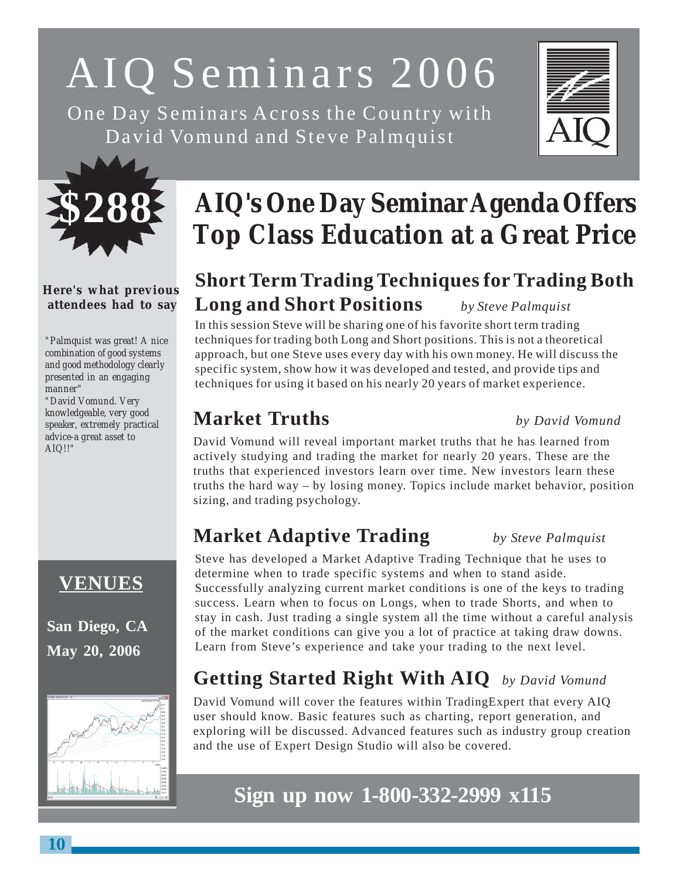# AIQ Seminars 2006

One Day Seminars Across the Country with David Vomund and Steve Palmquist





### **Here's what previous attendees had to say**

*"Palmquist was great! A nice combination of good systems and good methodology clearly presented in an engaging manner"*

*"David Vomund. Very knowledgeable, very good speaker, extremely practical advice-a great asset to AIQ!!"*

# **VENUES**

**San Diego, CA May 20, 2006**



# **AIQ's One Day Seminar Agenda Offers Top Class Education at a Great Price**

# **Short Term Trading Techniques for Trading Both Long and Short Positions** *by Steve Palmquist*

In this session Steve will be sharing one of his favorite short term trading techniques for trading both Long and Short positions. This is not a theoretical approach, but one Steve uses every day with his own money. He will discuss the specific system, show how it was developed and tested, and provide tips and techniques for using it based on his nearly 20 years of market experience.

# **Market Truths** *by David Vomund*

David Vomund will reveal important market truths that he has learned from actively studying and trading the market for nearly 20 years. These are the truths that experienced investors learn over time. New investors learn these truths the hard way – by losing money. Topics include market behavior, position sizing, and trading psychology.

# **Market Adaptive Trading** *by Steve Palmquist*

Steve has developed a Market Adaptive Trading Technique that he uses to determine when to trade specific systems and when to stand aside. Successfully analyzing current market conditions is one of the keys to trading success. Learn when to focus on Longs, when to trade Shorts, and when to stay in cash. Just trading a single system all the time without a careful analysis of the market conditions can give you a lot of practice at taking draw downs. Learn from Steve's experience and take your trading to the next level.

# **Getting Started Right With AIQ** *by David Vomund*

David Vomund will cover the features within TradingExpert that every AIQ user should know. Basic features such as charting, report generation, and exploring will be discussed. Advanced features such as industry group creation and the use of Expert Design Studio will also be covered.

# **Sign up now 1-800-332-2999 x115**